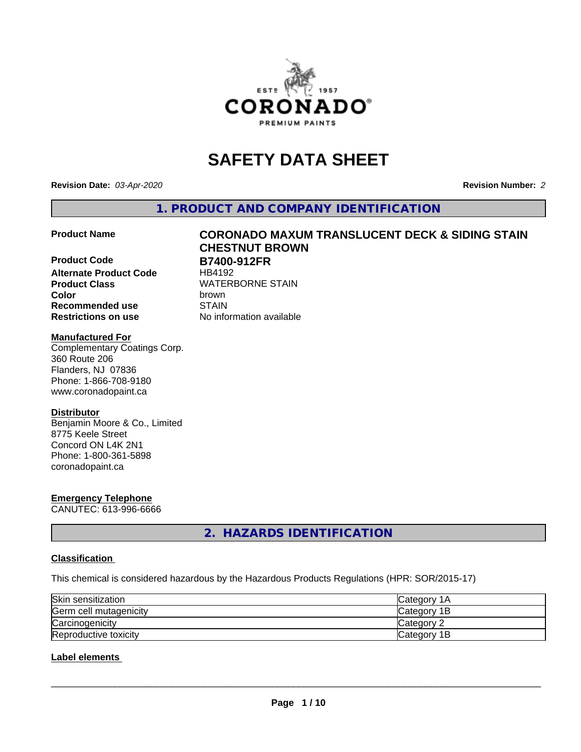

# **SAFETY DATA SHEET**

**Revision Date:** *03-Apr-2020* **Revision Number:** *2*

**1. PRODUCT AND COMPANY IDENTIFICATION**

**Product Code B7400-912FR Alternate Product Code** HB4192 **Product Class** WATERBORNE STAIN<br> **Color** brown **Color** brown Recommended use **STAIN Restrictions on use** No information available

# **Product Name CORONADO MAXUM TRANSLUCENT DECK & SIDING STAIN CHESTNUT BROWN**

#### **Manufactured For**

Complementary Coatings Corp. 360 Route 206 Flanders, NJ 07836 Phone: 1-866-708-9180 www.coronadopaint.ca

#### **Distributor**

Benjamin Moore & Co., Limited 8775 Keele Street Concord ON L4K 2N1 Phone: 1-800-361-5898 coronadopaint.ca

# **Emergency Telephone**

CANUTEC: 613-996-6666

**2. HAZARDS IDENTIFICATION**

# **Classification**

This chemical is considered hazardous by the Hazardous Products Regulations (HPR: SOR/2015-17)

| Skin sensitization     | <b>Category 1A</b> |
|------------------------|--------------------|
| Germ cell mutagenicity | Category 1B        |
| Carcinogenicity        | Category 2         |
| Reproductive toxicity  | Category 1B        |

# **Label elements**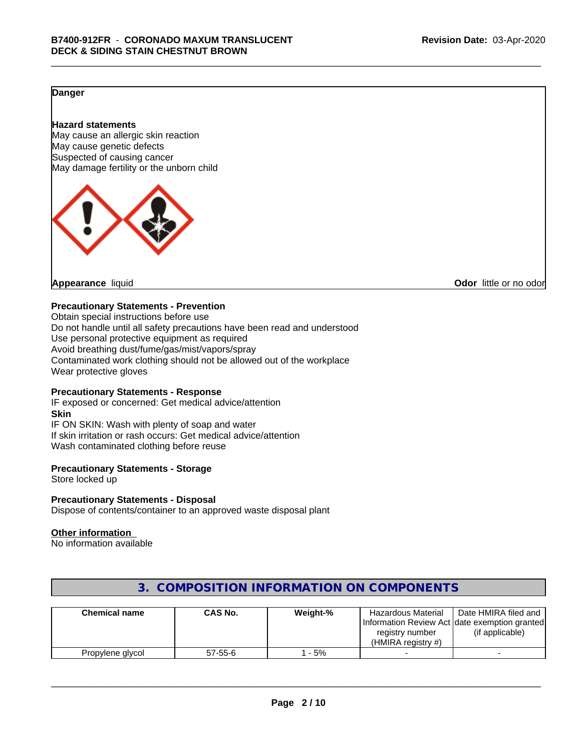# **Danger**

#### **Hazard statements**

May cause an allergic skin reaction May cause genetic defects Suspected of causing cancer May damage fertility or the unborn child



**Appearance** liquid **CODO** *Appearance liquid* **Odor** *CODO CODO* **<b>***CODO CODO CODO CODO CODO* 

#### **Precautionary Statements - Prevention**

Obtain special instructions before use Do not handle until all safety precautions have been read and understood Use personal protective equipment as required Avoid breathing dust/fume/gas/mist/vapors/spray Contaminated work clothing should not be allowed out of the workplace Wear protective gloves

# **Precautionary Statements - Response**

IF exposed or concerned: Get medical advice/attention **Skin** IF ON SKIN: Wash with plenty of soap and water If skin irritation or rash occurs: Get medical advice/attention Wash contaminated clothing before reuse

#### **Precautionary Statements - Storage**

Store locked up

#### **Precautionary Statements - Disposal**

Dispose of contents/container to an approved waste disposal plant

#### **Other information**

No information available

| <b>Chemical name</b> | <b>CAS No.</b> | Weight-% | <b>Hazardous Material</b><br>registry number<br>(HMIRA registry $#$ ) | Date HMIRA filed and<br>[Information Review Act date exemption granted]<br>(if applicable) |
|----------------------|----------------|----------|-----------------------------------------------------------------------|--------------------------------------------------------------------------------------------|
| Propylene glycol     | $57 - 55 - 6$  | - 5%     |                                                                       |                                                                                            |

# **3. COMPOSITION INFORMATION ON COMPONENTS**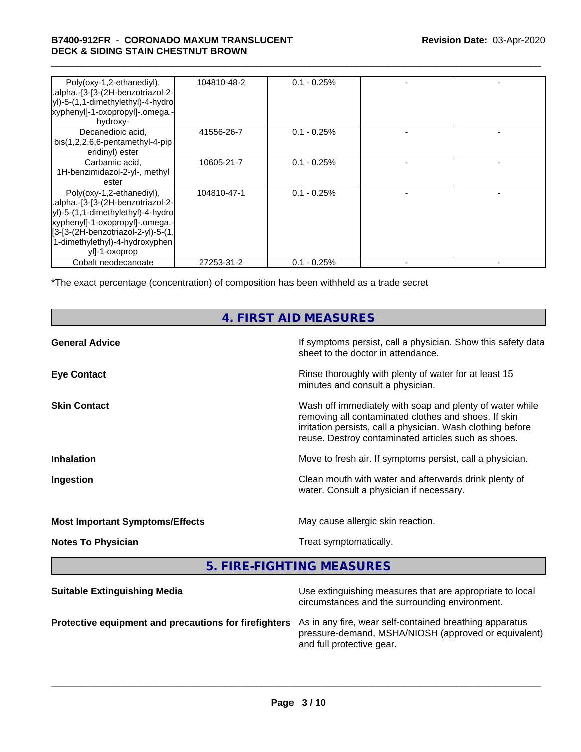# \_\_\_\_\_\_\_\_\_\_\_\_\_\_\_\_\_\_\_\_\_\_\_\_\_\_\_\_\_\_\_\_\_\_\_\_\_\_\_\_\_\_\_\_\_\_\_\_\_\_\_\_\_\_\_\_\_\_\_\_\_\_\_\_\_\_\_\_\_\_\_\_\_\_\_\_\_\_\_\_\_\_\_\_\_\_\_\_\_\_\_\_\_ **B7400-912FR** - **CORONADO MAXUM TRANSLUCENT DECK & SIDING STAIN CHESTNUT BROWN**

| Poly(oxy-1,2-ethanediyl),<br>.alpha.-[3-[3-(2H-benzotriazol-2-<br>yl)-5-(1,1-dimethylethyl)-4-hydro<br>xyphenyl]-1-oxopropyl]-.omega.-<br>hydroxy-                                                                                                          | 104810-48-2 | $0.1 - 0.25%$ |  |
|-------------------------------------------------------------------------------------------------------------------------------------------------------------------------------------------------------------------------------------------------------------|-------------|---------------|--|
| Decanedioic acid.<br>bis(1,2,2,6,6-pentamethyl-4-pip<br>eridinyl) ester                                                                                                                                                                                     | 41556-26-7  | $0.1 - 0.25%$ |  |
| Carbamic acid,<br>1H-benzimidazol-2-yl-, methyl<br>ester                                                                                                                                                                                                    | 10605-21-7  | $0.1 - 0.25%$ |  |
| Poly(oxy-1,2-ethanediyl),<br>.alpha.-[3-[3-(2H-benzotriazol-2-<br> yl)-5-(1,1-dimethylethyl)-4-hydrol<br>xyphenyl]-1-oxopropyl]-.omega.-<br>$\left[3 - [3 - (2H - benzotriazol-2 - y)] - 5 - (1)\right]$<br>1-dimethylethyl)-4-hydroxyphen<br>yll-1-oxoprop | 104810-47-1 | $0.1 - 0.25%$ |  |
| Cobalt neodecanoate                                                                                                                                                                                                                                         | 27253-31-2  | $0.1 - 0.25%$ |  |

\*The exact percentage (concentration) of composition has been withheld as a trade secret

# **4. FIRST AID MEASURES**

| <b>General Advice</b>                  | If symptoms persist, call a physician. Show this safety data<br>sheet to the doctor in attendance.                                                                                                                                     |
|----------------------------------------|----------------------------------------------------------------------------------------------------------------------------------------------------------------------------------------------------------------------------------------|
| <b>Eye Contact</b>                     | Rinse thoroughly with plenty of water for at least 15<br>minutes and consult a physician.                                                                                                                                              |
| <b>Skin Contact</b>                    | Wash off immediately with soap and plenty of water while<br>removing all contaminated clothes and shoes. If skin<br>irritation persists, call a physician. Wash clothing before<br>reuse. Destroy contaminated articles such as shoes. |
| <b>Inhalation</b>                      | Move to fresh air. If symptoms persist, call a physician.                                                                                                                                                                              |
| Ingestion                              | Clean mouth with water and afterwards drink plenty of<br>water. Consult a physician if necessary.                                                                                                                                      |
| <b>Most Important Symptoms/Effects</b> | May cause allergic skin reaction.                                                                                                                                                                                                      |
| <b>Notes To Physician</b>              | Treat symptomatically.                                                                                                                                                                                                                 |
|                                        |                                                                                                                                                                                                                                        |

**5. FIRE-FIGHTING MEASURES**

| <b>Suitable Extinguishing Media</b>                                                                           | Use extinguishing measures that are appropriate to local<br>circumstances and the surrounding environment. |
|---------------------------------------------------------------------------------------------------------------|------------------------------------------------------------------------------------------------------------|
| Protective equipment and precautions for firefighters As in any fire, wear self-contained breathing apparatus | pressure-demand, MSHA/NIOSH (approved or equivalent)<br>and full protective gear.                          |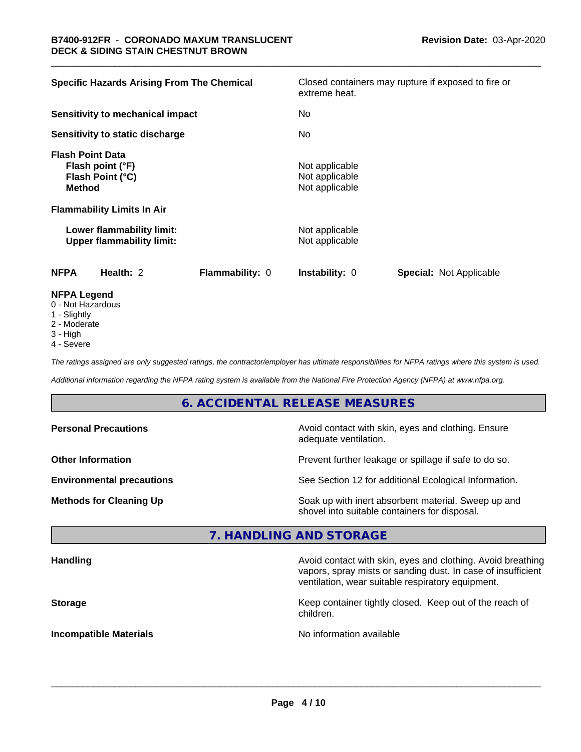| <b>Specific Hazards Arising From The Chemical</b>                                | Closed containers may rupture if exposed to fire or<br>extreme heat. |
|----------------------------------------------------------------------------------|----------------------------------------------------------------------|
| Sensitivity to mechanical impact                                                 | No                                                                   |
| Sensitivity to static discharge                                                  | No                                                                   |
| <b>Flash Point Data</b><br>Flash point (°F)<br>Flash Point (°C)<br><b>Method</b> | Not applicable<br>Not applicable<br>Not applicable                   |
| <b>Flammability Limits In Air</b>                                                |                                                                      |
| Lower flammability limit:<br><b>Upper flammability limit:</b>                    | Not applicable<br>Not applicable                                     |
| Flammability: 0<br><b>NFPA</b><br>Health: 2                                      | <b>Instability: 0</b><br><b>Special: Not Applicable</b>              |
| <b>NFPA Legend</b><br>0 - Not Hozardous                                          |                                                                      |

- 0 Not Hazardous
- 1 Slightly
- 2 Moderate
- 3 High
- 4 Severe

*The ratings assigned are only suggested ratings, the contractor/employer has ultimate responsibilities for NFPA ratings where this system is used.*

*Additional information regarding the NFPA rating system is available from the National Fire Protection Agency (NFPA) at www.nfpa.org.*

# **6. ACCIDENTAL RELEASE MEASURES**

| <b>Personal Precautions</b>      | Avoid contact with skin, eyes and clothing. Ensure<br>adequate ventilation.                          |  |
|----------------------------------|------------------------------------------------------------------------------------------------------|--|
| <b>Other Information</b>         | Prevent further leakage or spillage if safe to do so.                                                |  |
| <b>Environmental precautions</b> | See Section 12 for additional Ecological Information.                                                |  |
| <b>Methods for Cleaning Up</b>   | Soak up with inert absorbent material. Sweep up and<br>shovel into suitable containers for disposal. |  |

# **7. HANDLING AND STORAGE**

| <b>Handling</b>               | Avoid contact with skin, eyes and clothing. Avoid breathing<br>vapors, spray mists or sanding dust. In case of insufficient<br>ventilation, wear suitable respiratory equipment. |
|-------------------------------|----------------------------------------------------------------------------------------------------------------------------------------------------------------------------------|
| <b>Storage</b>                | Keep container tightly closed. Keep out of the reach of<br>children.                                                                                                             |
| <b>Incompatible Materials</b> | No information available                                                                                                                                                         |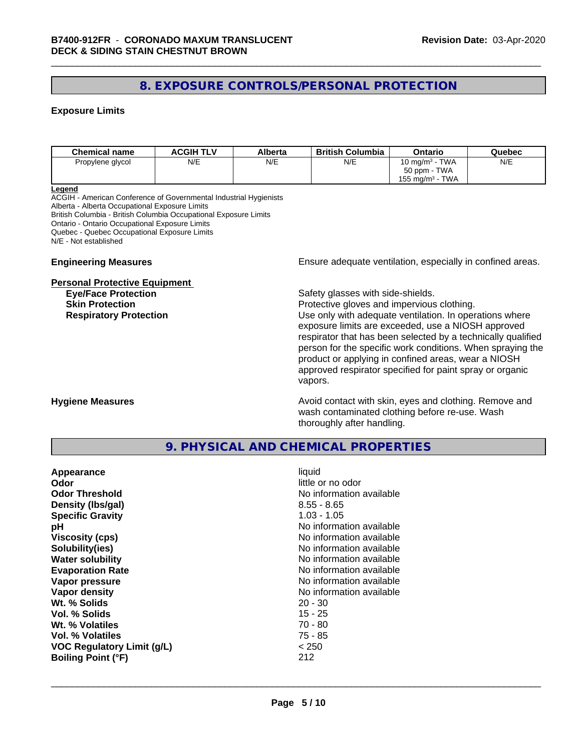# **8. EXPOSURE CONTROLS/PERSONAL PROTECTION**

### **Exposure Limits**

| <b>Chemical name</b> | <b>ACGIH TLV</b> | Alberta | <b>British Columbia</b> | Ontario                        | Quebec |
|----------------------|------------------|---------|-------------------------|--------------------------------|--------|
| Propylene glycol     | N/E              | N/E     | N/E                     | 10 mg/m $3$ - TWA              | N/E    |
|                      |                  |         |                         | 50 ppm - TWA                   |        |
|                      |                  |         |                         | TWA<br>155 mg/m <sup>3</sup> - |        |

#### **Legend**

ACGIH - American Conference of Governmental Industrial Hygienists Alberta - Alberta Occupational Exposure Limits British Columbia - British Columbia Occupational Exposure Limits Ontario - Ontario Occupational Exposure Limits Quebec - Quebec Occupational Exposure Limits N/E - Not established

#### **Personal Protective Equipment**

**Engineering Measures Ensure** Ensure adequate ventilation, especially in confined areas.

**Eye/Face Protection Safety glasses with side-shields.** 

**Skin Protection Protection Protective gloves and impervious clothing. Respiratory Protection Exercise 2018** Use only with adequate ventilation. In operations where exposure limits are exceeded, use a NIOSH approved respirator that has been selected by a technically qualified person for the specific work conditions. When spraying the product or applying in confined areas, wear a NIOSH approved respirator specified for paint spray or organic vapors.

**Hygiene Measures Avoid contact with skin, eyes and clothing. Remove and Avoid contact with skin, eyes and clothing. Remove and Avoid contact with skin, eyes and clothing. Remove and** wash contaminated clothing before re-use. Wash thoroughly after handling.

# **9. PHYSICAL AND CHEMICAL PROPERTIES**

| Appearance<br>Odor<br><b>Odor Threshold</b><br>Density (Ibs/gal)<br><b>Specific Gravity</b><br>рH<br><b>Viscosity (cps)</b><br>Solubility(ies)<br><b>Water solubility</b><br><b>Evaporation Rate</b><br>Vapor pressure<br>Vapor density<br>Wt. % Solids<br>Vol. % Solids<br>Wt. % Volatiles<br>Vol. % Volatiles | liquid<br>little or no odor<br>No information available<br>$8.55 - 8.65$<br>$1.03 - 1.05$<br>No information available<br>No information available<br>No information available<br>No information available<br>No information available<br>No information available<br>No information available<br>$20 - 30$<br>$15 - 25$<br>$70 - 80$<br>$75 - 85$<br>< 250 |
|-----------------------------------------------------------------------------------------------------------------------------------------------------------------------------------------------------------------------------------------------------------------------------------------------------------------|------------------------------------------------------------------------------------------------------------------------------------------------------------------------------------------------------------------------------------------------------------------------------------------------------------------------------------------------------------|
| <b>VOC Regulatory Limit (g/L)</b><br><b>Boiling Point (°F)</b>                                                                                                                                                                                                                                                  | 212                                                                                                                                                                                                                                                                                                                                                        |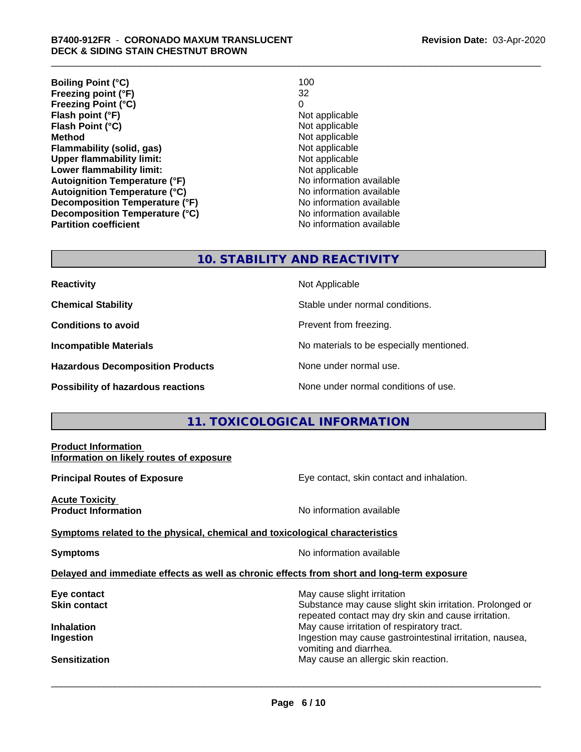| <b>Boiling Point (°C)</b>            | 100                      |
|--------------------------------------|--------------------------|
| Freezing point (°F)                  | 32                       |
| <b>Freezing Point (°C)</b>           | 0                        |
| Flash point (°F)                     | Not applicable           |
| Flash Point (°C)                     | Not applicable           |
| <b>Method</b>                        | Not applicable           |
| Flammability (solid, gas)            | Not applicable           |
| <b>Upper flammability limit:</b>     | Not applicable           |
| Lower flammability limit:            | Not applicable           |
| <b>Autoignition Temperature (°F)</b> | No information available |
| <b>Autoignition Temperature (°C)</b> | No information available |
| Decomposition Temperature (°F)       | No information available |
| Decomposition Temperature (°C)       | No information available |
| <b>Partition coefficient</b>         | No information available |

# **10. STABILITY AND REACTIVITY**

| <b>Reactivity</b> |  |
|-------------------|--|
|                   |  |

**Hazardous Decomposition Products** None under normal use.

**Not Applicable** 

**Chemical Stability Chemical Stability** Stable under normal conditions.

**Conditions to avoid Conditions reading**.

**Incompatible Materials No materials** No materials to be especially mentioned.

**Possibility of hazardous reactions** None under normal conditions of use.

# **11. TOXICOLOGICAL INFORMATION**

| <b>Product Information</b><br>Information on likely routes of exposure                     |                                                                                                                 |
|--------------------------------------------------------------------------------------------|-----------------------------------------------------------------------------------------------------------------|
| <b>Principal Routes of Exposure</b>                                                        | Eye contact, skin contact and inhalation.                                                                       |
| <b>Acute Toxicity</b><br><b>Product Information</b>                                        | No information available                                                                                        |
| Symptoms related to the physical, chemical and toxicological characteristics               |                                                                                                                 |
| <b>Symptoms</b>                                                                            | No information available                                                                                        |
| Delayed and immediate effects as well as chronic effects from short and long-term exposure |                                                                                                                 |
| Eye contact                                                                                | May cause slight irritation                                                                                     |
| <b>Skin contact</b>                                                                        | Substance may cause slight skin irritation. Prolonged or<br>repeated contact may dry skin and cause irritation. |
| <b>Inhalation</b>                                                                          | May cause irritation of respiratory tract.                                                                      |
| Ingestion                                                                                  | Ingestion may cause gastrointestinal irritation, nausea,<br>vomiting and diarrhea.                              |
| <b>Sensitization</b>                                                                       | May cause an allergic skin reaction.                                                                            |
|                                                                                            |                                                                                                                 |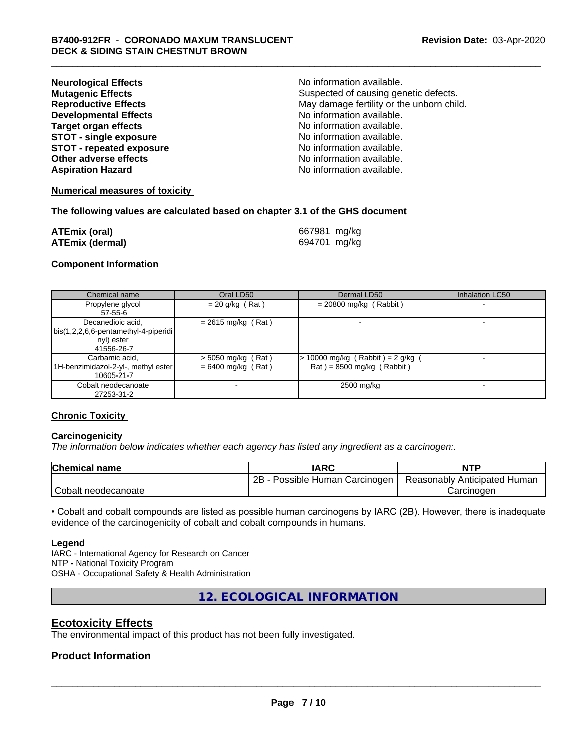| <b>Neurological Effects</b>     | No information available.                 |
|---------------------------------|-------------------------------------------|
| <b>Mutagenic Effects</b>        | Suspected of causing genetic defects.     |
| <b>Reproductive Effects</b>     | May damage fertility or the unborn child. |
| <b>Developmental Effects</b>    | No information available.                 |
| <b>Target organ effects</b>     | No information available.                 |
| <b>STOT - single exposure</b>   | No information available.                 |
| <b>STOT - repeated exposure</b> | No information available.                 |
| Other adverse effects           | No information available.                 |
| <b>Aspiration Hazard</b>        | No information available.                 |

#### **Numerical measures of toxicity**

#### **The following values are calculated based on chapter 3.1 of the GHS document**

| <b>ATEmix (oral)</b>   | 667981 mg/kg |
|------------------------|--------------|
| <b>ATEmix (dermal)</b> | 694701 mg/kg |

### **Component Information**

| Chemical name                                                                           | Oral LD50                                    | Dermal LD50                                                        | Inhalation LC50 |
|-----------------------------------------------------------------------------------------|----------------------------------------------|--------------------------------------------------------------------|-----------------|
| Propylene glycol<br>57-55-6                                                             | $= 20$ g/kg (Rat)                            | $= 20800$ mg/kg (Rabbit)                                           |                 |
| Decanedioic acid,<br>  bis(1,2,2,6,6-pentamethyl-4-piperidi<br>nyl) ester<br>41556-26-7 | $= 2615$ mg/kg (Rat)                         |                                                                    |                 |
| Carbamic acid,<br>1H-benzimidazol-2-yl-, methyl ester  <br>10605-21-7                   | $>$ 5050 mg/kg (Rat)<br>$= 6400$ mg/kg (Rat) | $> 10000$ mg/kg (Rabbit) = 2 g/kg (<br>$Rat$ = 8500 mg/kg (Rabbit) |                 |
| Cobalt neodecanoate<br>27253-31-2                                                       |                                              | 2500 mg/kg                                                         |                 |

#### **Chronic Toxicity**

#### **Carcinogenicity**

*The information below indicateswhether each agency has listed any ingredient as a carcinogen:.*

| <b>Chemical name</b> | IARC                            | <b>NTP</b>                   |
|----------------------|---------------------------------|------------------------------|
|                      | 2B<br>Possible Human Carcinogen | Reasonably Anticipated Human |
| Cobalt neodecanoate  |                                 | Carcinoder                   |

• Cobalt and cobalt compounds are listed as possible human carcinogens by IARC (2B). However, there is inadequate evidence of the carcinogenicity of cobalt and cobalt compounds in humans.

#### **Legend**

IARC - International Agency for Research on Cancer NTP - National Toxicity Program OSHA - Occupational Safety & Health Administration

**12. ECOLOGICAL INFORMATION**

# **Ecotoxicity Effects**

The environmental impact of this product has not been fully investigated.

# **Product Information**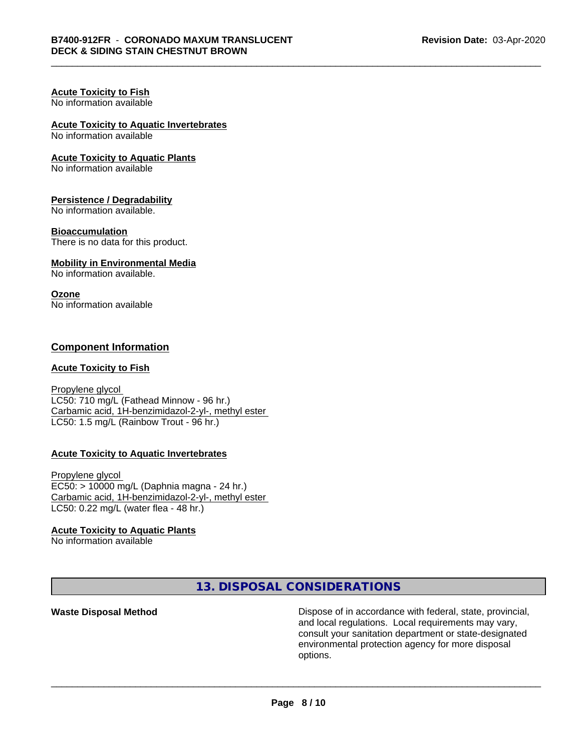#### **Acute Toxicity to Fish** No information available

# **Acute Toxicity to Aquatic Invertebrates**

No information available

### **Acute Toxicity to Aquatic Plants**

No information available

#### **Persistence / Degradability**

No information available.

#### **Bioaccumulation**

There is no data for this product.

#### **Mobility in Environmental Media**

No information available.

#### **Ozone**

No information available

# **Component Information**

### **Acute Toxicity to Fish**

Propylene glycol LC50: 710 mg/L (Fathead Minnow - 96 hr.) Carbamic acid, 1H-benzimidazol-2-yl-, methyl ester LC50: 1.5 mg/L (Rainbow Trout - 96 hr.)

#### **Acute Toxicity to Aquatic Invertebrates**

Propylene glycol EC50: > 10000 mg/L (Daphnia magna - 24 hr.) Carbamic acid, 1H-benzimidazol-2-yl-, methyl ester LC50: 0.22 mg/L (water flea - 48 hr.)

# **Acute Toxicity to Aquatic Plants**

No information available

**13. DISPOSAL CONSIDERATIONS**

**Waste Disposal Method Dispose of in accordance with federal, state, provincial,** and local regulations. Local requirements may vary, consult your sanitation department or state-designated environmental protection agency for more disposal options.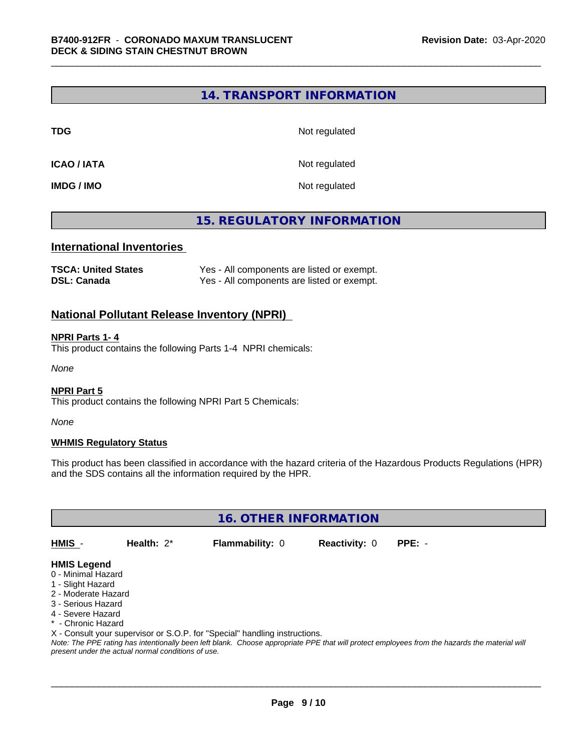# **14. TRANSPORT INFORMATION**

**TDG** Not regulated

**ICAO / IATA** Not regulated

**IMDG / IMO** Not regulated

# **15. REGULATORY INFORMATION**

# **International Inventories**

| <b>TSCA: United States</b> | Yes - All components are listed or exempt. |
|----------------------------|--------------------------------------------|
| <b>DSL: Canada</b>         | Yes - All components are listed or exempt. |

# **National Pollutant Release Inventory (NPRI)**

#### **NPRI Parts 1- 4**

This product contains the following Parts 1-4 NPRI chemicals:

*None*

#### **NPRI Part 5**

This product contains the following NPRI Part 5 Chemicals:

*None*

#### **WHMIS Regulatory Status**

This product has been classified in accordance with the hazard criteria of the Hazardous Products Regulations (HPR) and the SDS contains all the information required by the HPR.

**16. OTHER INFORMATION**

**HMIS** - **Health:** 2\* **Flammability:** 0 **Reactivity:** 0 **PPE:** -

# **HMIS Legend**

- 0 Minimal Hazard
- 1 Slight Hazard
- 2 Moderate Hazard
- 3 Serious Hazard
- 4 Severe Hazard
- \* Chronic Hazard
- X Consult your supervisor or S.O.P. for "Special" handling instructions.

*Note: The PPE rating has intentionally been left blank. Choose appropriate PPE that will protect employees from the hazards the material will present under the actual normal conditions of use.*